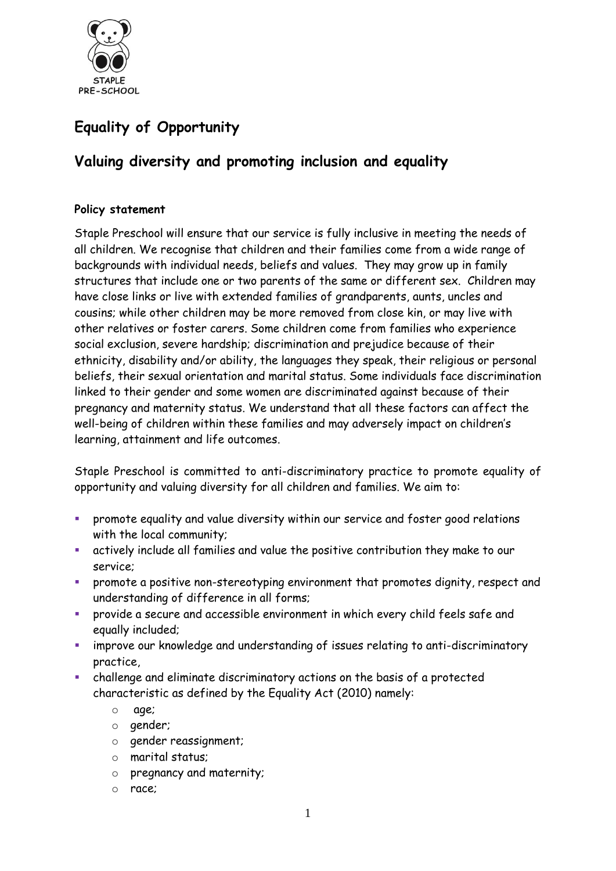

# **Equality of Opportunity**

# **Valuing diversity and promoting inclusion and equality**

## **Policy statement**

Staple Preschool will ensure that our service is fully inclusive in meeting the needs of all children. We recognise that children and their families come from a wide range of backgrounds with individual needs, beliefs and values. They may grow up in family structures that include one or two parents of the same or different sex. Children may have close links or live with extended families of grandparents, aunts, uncles and cousins; while other children may be more removed from close kin, or may live with other relatives or foster carers. Some children come from families who experience social exclusion, severe hardship; discrimination and prejudice because of their ethnicity, disability and/or ability, the languages they speak, their religious or personal beliefs, their sexual orientation and marital status. Some individuals face discrimination linked to their gender and some women are discriminated against because of their pregnancy and maternity status. We understand that all these factors can affect the well-being of children within these families and may adversely impact on children's learning, attainment and life outcomes.

Staple Preschool is committed to anti-discriminatory practice to promote equality of opportunity and valuing diversity for all children and families. We aim to:

- promote equality and value diversity within our service and foster good relations with the local community;
- actively include all families and value the positive contribution they make to our service;
- promote a positive non-stereotyping environment that promotes dignity, respect and understanding of difference in all forms;
- provide a secure and accessible environment in which every child feels safe and equally included;
- improve our knowledge and understanding of issues relating to anti-discriminatory practice,
- challenge and eliminate discriminatory actions on the basis of a protected characteristic as defined by the Equality Act (2010) namely:
	- o age;
	- o gender;
	- o gender reassignment;
	- o marital status;
	- o pregnancy and maternity;
	- o race;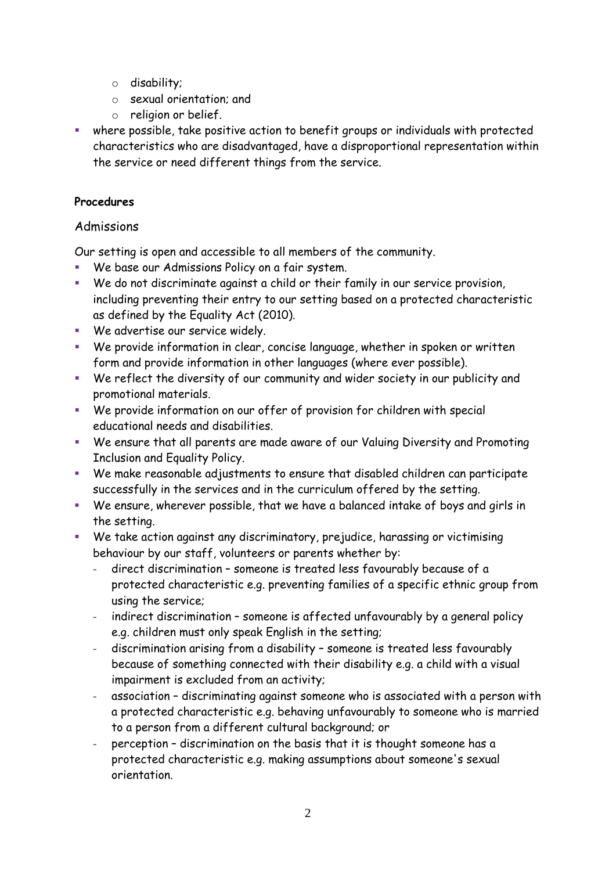- o disability;
- o sexual orientation; and
- o religion or belief.
- where possible, take positive action to benefit groups or individuals with protected characteristics who are disadvantaged, have a disproportional representation within the service or need different things from the service.

# **Procedures**

# Admissions

Our setting is open and accessible to all members of the community.

- We base our Admissions Policy on a fair system.
- We do not discriminate against a child or their family in our service provision, including preventing their entry to our setting based on a protected characteristic as defined by the Equality Act (2010).
- **We advertise our service widely.**
- We provide information in clear, concise language, whether in spoken or written form and provide information in other languages (where ever possible).
- We reflect the diversity of our community and wider society in our publicity and promotional materials.
- We provide information on our offer of provision for children with special educational needs and disabilities.
- We ensure that all parents are made aware of our Valuing Diversity and Promoting Inclusion and Equality Policy.
- We make reasonable adjustments to ensure that disabled children can participate successfully in the services and in the curriculum offered by the setting.
- We ensure, wherever possible, that we have a balanced intake of boys and girls in the setting.
- We take action against any discriminatory, prejudice, harassing or victimising behaviour by our staff, volunteers or parents whether by:
	- **-** direct discrimination someone is treated less favourably because of a protected characteristic e.g. preventing families of a specific ethnic group from using the service;
	- **-** indirect discrimination someone is affected unfavourably by a general policy e.g. children must only speak English in the setting;
	- **-** discrimination arising from a disability someone is treated less favourably because of something connected with their disability e.g. a child with a visual impairment is excluded from an activity;
	- **-** association discriminating against someone who is associated with a person with a protected characteristic e.g. behaving unfavourably to someone who is married to a person from a different cultural background; or
	- **-** perception discrimination on the basis that it is thought someone has a protected characteristic e.g. making assumptions about someone's sexual orientation.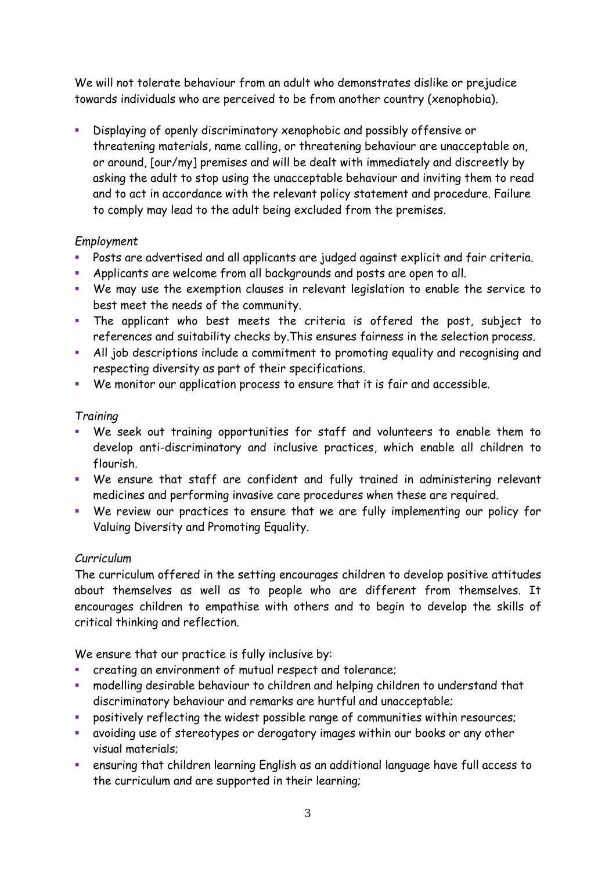We will not tolerate behaviour from an adult who demonstrates dislike or prejudice towards individuals who are perceived to be from another country (xenophobia).

 Displaying of openly discriminatory xenophobic and possibly offensive or threatening materials, name calling, or threatening behaviour are unacceptable on, or around, [our/my] premises and will be dealt with immediately and discreetly by asking the adult to stop using the unacceptable behaviour and inviting them to read and to act in accordance with the relevant policy statement and procedure. Failure to comply may lead to the adult being excluded from the premises.

## *Employment*

- Posts are advertised and all applicants are judged against explicit and fair criteria.
- Applicants are welcome from all backgrounds and posts are open to all.
- We may use the exemption clauses in relevant legislation to enable the service to best meet the needs of the community.
- The applicant who best meets the criteria is offered the post, subject to references and suitability checks by.This ensures fairness in the selection process.
- All job descriptions include a commitment to promoting equality and recognising and respecting diversity as part of their specifications.
- We monitor our application process to ensure that it is fair and accessible.

## *Training*

- We seek out training opportunities for staff and volunteers to enable them to develop anti-discriminatory and inclusive practices, which enable all children to flourish.
- We ensure that staff are confident and fully trained in administering relevant medicines and performing invasive care procedures when these are required.
- We review our practices to ensure that we are fully implementing our policy for Valuing Diversity and Promoting Equality.

#### *Curriculum*

The curriculum offered in the setting encourages children to develop positive attitudes about themselves as well as to people who are different from themselves. It encourages children to empathise with others and to begin to develop the skills of critical thinking and reflection.

We ensure that our practice is fully inclusive by:

- creating an environment of mutual respect and tolerance;
- modelling desirable behaviour to children and helping children to understand that discriminatory behaviour and remarks are hurtful and unacceptable;
- positively reflecting the widest possible range of communities within resources;
- avoiding use of stereotypes or derogatory images within our books or any other visual materials;
- ensuring that children learning English as an additional language have full access to the curriculum and are supported in their learning;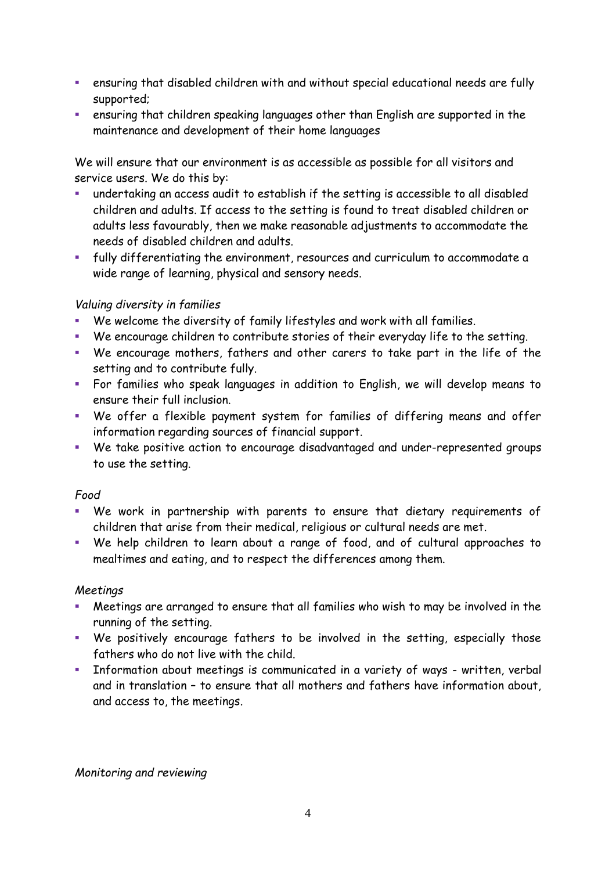- ensuring that disabled children with and without special educational needs are fully supported;
- ensuring that children speaking languages other than English are supported in the maintenance and development of their home languages

We will ensure that our environment is as accessible as possible for all visitors and service users. We do this by:

- undertaking an access audit to establish if the setting is accessible to all disabled children and adults. If access to the setting is found to treat disabled children or adults less favourably, then we make reasonable adjustments to accommodate the needs of disabled children and adults.
- fully differentiating the environment, resources and curriculum to accommodate a wide range of learning, physical and sensory needs.

## *Valuing diversity in families*

- We welcome the diversity of family lifestyles and work with all families.
- We encourage children to contribute stories of their everyday life to the setting.
- We encourage mothers, fathers and other carers to take part in the life of the setting and to contribute fully.
- For families who speak languages in addition to English, we will develop means to ensure their full inclusion.
- We offer a flexible payment system for families of differing means and offer information regarding sources of financial support.
- We take positive action to encourage disadvantaged and under-represented groups to use the setting.

#### *Food*

- We work in partnership with parents to ensure that dietary requirements of children that arise from their medical, religious or cultural needs are met.
- We help children to learn about a range of food, and of cultural approaches to mealtimes and eating, and to respect the differences among them.

#### *Meetings*

- Meetings are arranged to ensure that all families who wish to may be involved in the running of the setting.
- We positively encourage fathers to be involved in the setting, especially those fathers who do not live with the child.
- **Information about meetings is communicated in a variety of ways written, verbal** and in translation – to ensure that all mothers and fathers have information about, and access to, the meetings.

*Monitoring and reviewing*